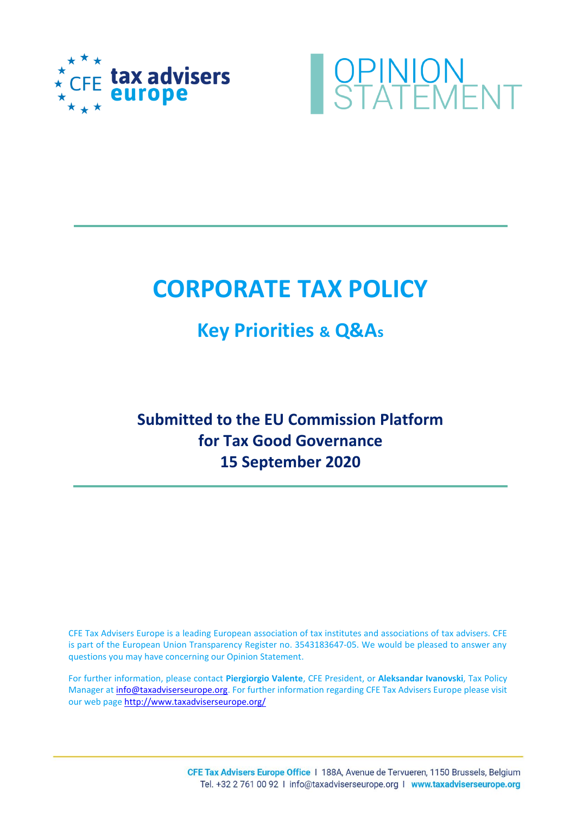



# **CORPORATE TAX POLICY**

## **Key Priorities & Q&As**

## **Submitted to the EU Commission Platform for Tax Good Governance 15 September 2020**

CFE Tax Advisers Europe is a leading European association of tax institutes and associations of tax advisers. CFE is part of the European Union Transparency Register no. 3543183647‐05. We would be pleased to answer any questions you may have concerning our Opinion Statement.

For further information, please contact **Piergiorgio Valente**, CFE President, or **Aleksandar Ivanovski**, Tax Policy Manager at [info@taxadviserseurope.org.](mailto:info@taxadviserseurope.org) For further information regarding CFE Tax Advisers Europe please visit our web pag[e http://www.taxadviserseurope.org/](http://www.taxadviserseurope.org/)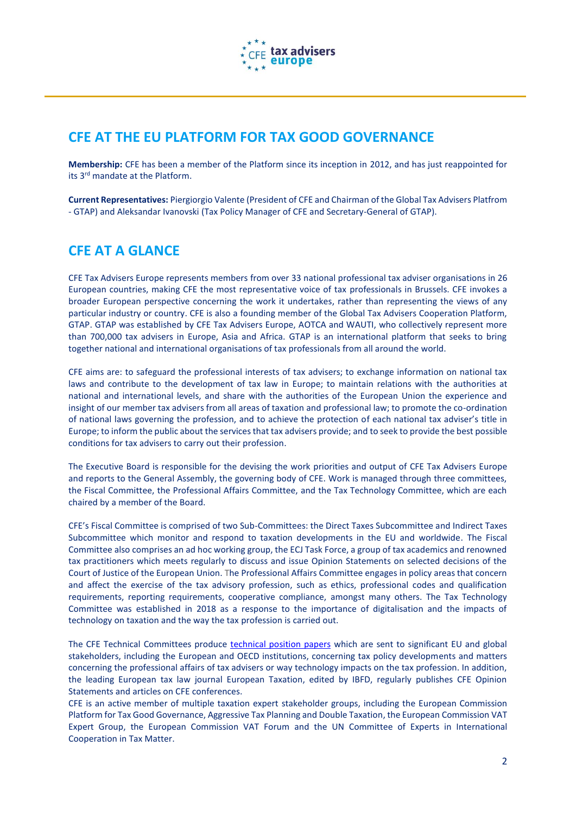

## **CFE AT THE EU PLATFORM FOR TAX GOOD GOVERNANCE**

**Membership:** CFE has been a member of the Platform since its inception in 2012, and has just reappointed for its 3rd mandate at the Platform.

**Current Representatives:** Piergiorgio Valente (President of CFE and Chairman of the Global Tax Advisers Platfrom - GTAP) and Aleksandar Ivanovski (Tax Policy Manager of CFE and Secretary-General of GTAP).

## **CFE AT A GLANCE**

CFE Tax Advisers Europe represents members from over 33 national professional tax adviser organisations in 26 European countries, making CFE the most representative voice of tax professionals in Brussels. CFE invokes a broader European perspective concerning the work it undertakes, rather than representing the views of any particular industry or country. CFE is also a founding member of the Global Tax Advisers Cooperation Platform, GTAP. GTAP was established by CFE Tax Advisers Europe, AOTCA and WAUTI, who collectively represent more than 700,000 tax advisers in Europe, Asia and Africa. GTAP is an international platform that seeks to bring together national and international organisations of tax professionals from all around the world.

CFE aims are: to safeguard the professional interests of tax advisers; to exchange information on national tax laws and contribute to the development of tax law in Europe; to maintain relations with the authorities at national and international levels, and share with the authorities of the European Union the experience and insight of our member tax advisers from all areas of taxation and professional law; to promote the co-ordination of national laws governing the profession, and to achieve the protection of each national tax adviser's title in Europe; to inform the public about the services that tax advisers provide; and to seek to provide the best possible conditions for tax advisers to carry out their profession.

The Executive Board is responsible for the devising the work priorities and output of CFE Tax Advisers Europe and reports to the General Assembly, the governing body of CFE. Work is managed through three committees, the Fiscal Committee, the Professional Affairs Committee, and the Tax Technology Committee, which are each chaired by a member of the Board.

CFE's Fiscal Committee is comprised of two Sub-Committees: the Direct Taxes Subcommittee and Indirect Taxes Subcommittee which monitor and respond to taxation developments in the EU and worldwide. The Fiscal Committee also comprises an ad hoc working group, the ECJ Task Force, a group of tax academics and renowned tax practitioners which meets regularly to discuss and issue Opinion Statements on selected decisions of the Court of Justice of the European Union. The Professional Affairs Committee engages in policy areas that concern and affect the exercise of the tax advisory profession, such as ethics, professional codes and qualification requirements, reporting requirements, cooperative compliance, amongst many others. The Tax Technology Committee was established in 2018 as a response to the importance of digitalisation and the impacts of technology on taxation and the way the tax profession is carried out.

The CFE Technical Committees produce [technical position papers](http://taxadviserseurope.org/publications/) which are sent to significant EU and global stakeholders, including the European and OECD institutions, concerning tax policy developments and matters concerning the professional affairs of tax advisers or way technology impacts on the tax profession. In addition, the leading European tax law journal European Taxation, edited by IBFD, regularly publishes CFE Opinion Statements and articles on CFE conferences.

CFE is an active member of multiple taxation expert stakeholder groups, including the European Commission Platform for Tax Good Governance, Aggressive Tax Planning and Double Taxation, the European Commission VAT Expert Group, the European Commission VAT Forum and the UN Committee of Experts in International Cooperation in Tax Matter.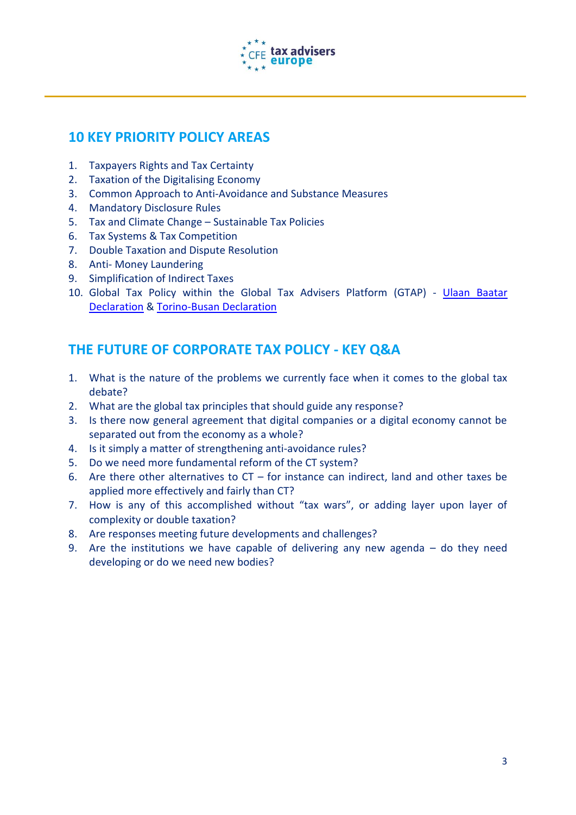

## **10 KEY PRIORITY POLICY AREAS**

- 1. Taxpayers Rights and Tax Certainty
- 2. Taxation of the Digitalising Economy
- 3. Common Approach to Anti-Avoidance and Substance Measures
- 4. Mandatory Disclosure Rules
- 5. Tax and Climate Change Sustainable Tax Policies
- 6. Tax Systems & Tax Competition
- 7. Double Taxation and Dispute Resolution
- 8. Anti- Money Laundering
- 9. Simplification of Indirect Taxes
- 10. Global Tax Policy within the Global Tax Advisers Platform (GTAP) [Ulaan Baatar](https://taxadviserseurope.org/blog/portfolio-items/ulaanbaatar-declaration/?portfolioCats=124%2C125%2C127) [Declaration](https://taxadviserseurope.org/blog/portfolio-items/ulaanbaatar-declaration/?portfolioCats=124%2C125%2C127) & [Torino-Busan Declaration](https://taxadviserseurope.org/blog/portfolio-items/the-torino-busan-declaration/?portfolioCats=124%2C125%2C127)

## **THE FUTURE OF CORPORATE TAX POLICY - KEY Q&A**

- 1. What is the nature of the problems we currently face when it comes to the global tax debate?
- 2. What are the global tax principles that should guide any response?
- 3. Is there now general agreement that digital companies or a digital economy cannot be separated out from the economy as a whole?
- 4. Is it simply a matter of strengthening anti-avoidance rules?
- 5. Do we need more fundamental reform of the CT system?
- 6. Are there other alternatives to  $CT -$  for instance can indirect, land and other taxes be applied more effectively and fairly than CT?
- 7. How is any of this accomplished without "tax wars", or adding layer upon layer of complexity or double taxation?
- 8. Are responses meeting future developments and challenges?
- 9. Are the institutions we have capable of delivering any new agenda do they need developing or do we need new bodies?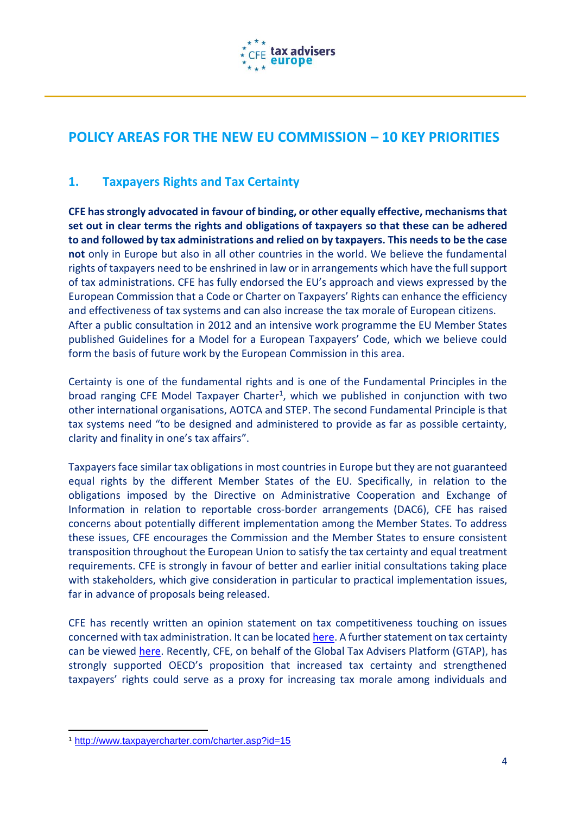

## **POLICY AREAS FOR THE NEW EU COMMISSION – 10 KEY PRIORITIES**

#### **1. Taxpayers Rights and Tax Certainty**

**CFE has strongly advocated in favour of binding, or other equally effective, mechanisms that set out in clear terms the rights and obligations of taxpayers so that these can be adhered to and followed by tax administrations and relied on by taxpayers. This needs to be the case not** only in Europe but also in all other countries in the world. We believe the fundamental rights of taxpayers need to be enshrined in law or in arrangements which have the full support of tax administrations. CFE has fully endorsed the EU's approach and views expressed by the European Commission that a Code or Charter on Taxpayers' Rights can enhance the efficiency and effectiveness of tax systems and can also increase the tax morale of European citizens. After a public consultation in 2012 and an intensive work programme the EU Member States published Guidelines for a Model for a European Taxpayers' Code, which we believe could form the basis of future work by the European Commission in this area.

Certainty is one of the fundamental rights and is one of the Fundamental Principles in the broad ranging CFE Model Taxpayer Charter<sup>1</sup>, which we published in conjunction with two other international organisations, AOTCA and STEP. The second Fundamental Principle is that tax systems need "to be designed and administered to provide as far as possible certainty, clarity and finality in one's tax affairs".

Taxpayers face similar tax obligations in most countries in Europe but they are not guaranteed equal rights by the different Member States of the EU. Specifically, in relation to the obligations imposed by the Directive on Administrative Cooperation and Exchange of Information in relation to reportable cross-border arrangements (DAC6), CFE has raised concerns about potentially different implementation among the Member States. To address these issues, CFE encourages the Commission and the Member States to ensure consistent transposition throughout the European Union to satisfy the tax certainty and equal treatment requirements. CFE is strongly in favour of better and earlier initial consultations taking place with stakeholders, which give consideration in particular to practical implementation issues, far in advance of proposals being released.

CFE has recently written an opinion statement on tax competitiveness touching on issues concerned with tax administration. It can be located [here.](http://taxadviserseurope.org/blog/portfolio-items/opinion-statement-fc-10-2018-on-tax-competition-and-competitiveness/) A further statement on tax certainty can be viewed [here.](http://taxadviserseurope.org/blog/portfolio-items/cfe-opinion-statement-fc-072017-on-tax-certainty/) Recently, CFE, on behalf of the Global Tax Advisers Platform (GTAP), has strongly supported OECD's proposition that increased tax certainty and strengthened taxpayers' rights could serve as a proxy for increasing tax morale among individuals and

1

<sup>1</sup> <http://www.taxpayercharter.com/charter.asp?id=15>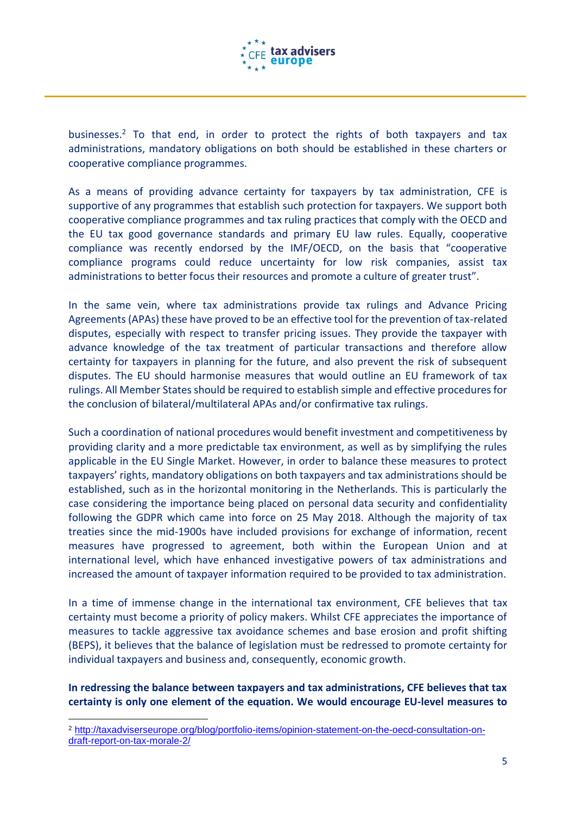

businesses.<sup>2</sup> To that end, in order to protect the rights of both taxpayers and tax administrations, mandatory obligations on both should be established in these charters or cooperative compliance programmes.

As a means of providing advance certainty for taxpayers by tax administration, CFE is supportive of any programmes that establish such protection for taxpayers. We support both cooperative compliance programmes and tax ruling practices that comply with the OECD and the EU tax good governance standards and primary EU law rules. Equally, cooperative compliance was recently endorsed by the IMF/OECD, on the basis that "cooperative compliance programs could reduce uncertainty for low risk companies, assist tax administrations to better focus their resources and promote a culture of greater trust".

In the same vein, where tax administrations provide tax rulings and Advance Pricing Agreements (APAs) these have proved to be an effective tool for the prevention of tax-related disputes, especially with respect to transfer pricing issues. They provide the taxpayer with advance knowledge of the tax treatment of particular transactions and therefore allow certainty for taxpayers in planning for the future, and also prevent the risk of subsequent disputes. The EU should harmonise measures that would outline an EU framework of tax rulings. All Member States should be required to establish simple and effective procedures for the conclusion of bilateral/multilateral APAs and/or confirmative tax rulings.

Such a coordination of national procedures would benefit investment and competitiveness by providing clarity and a more predictable tax environment, as well as by simplifying the rules applicable in the EU Single Market. However, in order to balance these measures to protect taxpayers' rights, mandatory obligations on both taxpayers and tax administrations should be established, such as in the horizontal monitoring in the Netherlands. This is particularly the case considering the importance being placed on personal data security and confidentiality following the GDPR which came into force on 25 May 2018. Although the majority of tax treaties since the mid-1900s have included provisions for exchange of information, recent measures have progressed to agreement, both within the European Union and at international level, which have enhanced investigative powers of tax administrations and increased the amount of taxpayer information required to be provided to tax administration.

In a time of immense change in the international tax environment, CFE believes that tax certainty must become a priority of policy makers. Whilst CFE appreciates the importance of measures to tackle aggressive tax avoidance schemes and base erosion and profit shifting (BEPS), it believes that the balance of legislation must be redressed to promote certainty for individual taxpayers and business and, consequently, economic growth.

**In redressing the balance between taxpayers and tax administrations, CFE believes that tax certainty is only one element of the equation. We would encourage EU-level measures to** 

 $\overline{a}$ 

<sup>2</sup> [http://taxadviserseurope.org/blog/portfolio-items/opinion-statement-on-the-oecd-consultation-on](http://taxadviserseurope.org/blog/portfolio-items/opinion-statement-on-the-oecd-consultation-on-draft-report-on-tax-morale-2/)[draft-report-on-tax-morale-2/](http://taxadviserseurope.org/blog/portfolio-items/opinion-statement-on-the-oecd-consultation-on-draft-report-on-tax-morale-2/)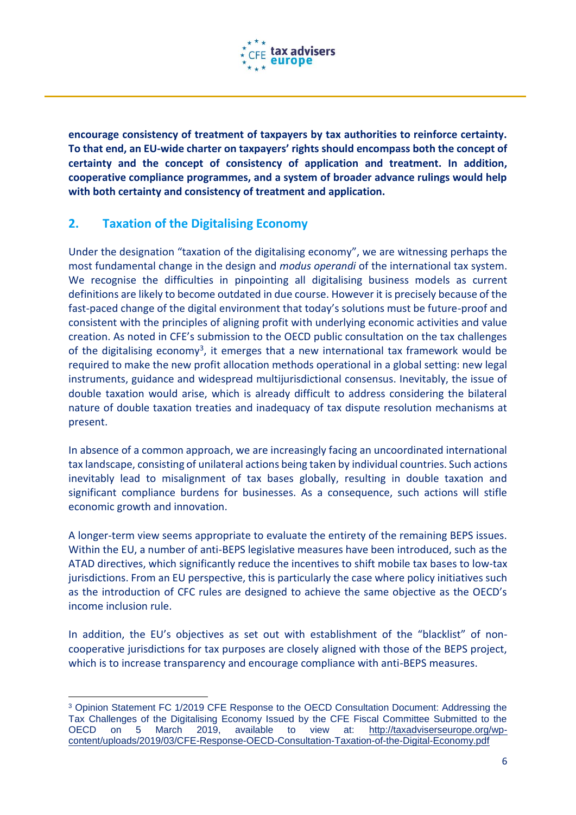

**encourage consistency of treatment of taxpayers by tax authorities to reinforce certainty. To that end, an EU-wide charter on taxpayers' rights should encompass both the concept of certainty and the concept of consistency of application and treatment. In addition, cooperative compliance programmes, and a system of broader advance rulings would help with both certainty and consistency of treatment and application.**

#### **2. Taxation of the Digitalising Economy**

Under the designation "taxation of the digitalising economy", we are witnessing perhaps the most fundamental change in the design and *modus operandi* of the international tax system. We recognise the difficulties in pinpointing all digitalising business models as current definitions are likely to become outdated in due course. However it is precisely because of the fast-paced change of the digital environment that today's solutions must be future-proof and consistent with the principles of aligning profit with underlying economic activities and value creation. As noted in CFE's submission to the OECD public consultation on the tax challenges of the digitalising economy<sup>3</sup>, it emerges that a new international tax framework would be required to make the new profit allocation methods operational in a global setting: new legal instruments, guidance and widespread multijurisdictional consensus. Inevitably, the issue of double taxation would arise, which is already difficult to address considering the bilateral nature of double taxation treaties and inadequacy of tax dispute resolution mechanisms at present.

In absence of a common approach, we are increasingly facing an uncoordinated international tax landscape, consisting of unilateral actions being taken by individual countries. Such actions inevitably lead to misalignment of tax bases globally, resulting in double taxation and significant compliance burdens for businesses. As a consequence, such actions will stifle economic growth and innovation.

A longer-term view seems appropriate to evaluate the entirety of the remaining BEPS issues. Within the EU, a number of anti-BEPS legislative measures have been introduced, such as the ATAD directives, which significantly reduce the incentives to shift mobile tax bases to low-tax jurisdictions. From an EU perspective, this is particularly the case where policy initiatives such as the introduction of CFC rules are designed to achieve the same objective as the OECD's income inclusion rule.

In addition, the EU's objectives as set out with establishment of the "blacklist" of noncooperative jurisdictions for tax purposes are closely aligned with those of the BEPS project, which is to increase transparency and encourage compliance with anti-BEPS measures.

**<sup>.</sup>** <sup>3</sup> Opinion Statement FC 1/2019 CFE Response to the OECD Consultation Document: Addressing the Tax Challenges of the Digitalising Economy Issued by the CFE Fiscal Committee Submitted to the OECD on 5 March 2019, available to view at: [http://taxadviserseurope.org/wp](http://taxadviserseurope.org/wp-content/uploads/2019/03/CFE-Response-OECD-Consultation-Taxation-of-the-Digital-Economy.pdf)[content/uploads/2019/03/CFE-Response-OECD-Consultation-Taxation-of-the-Digital-Economy.pdf](http://taxadviserseurope.org/wp-content/uploads/2019/03/CFE-Response-OECD-Consultation-Taxation-of-the-Digital-Economy.pdf)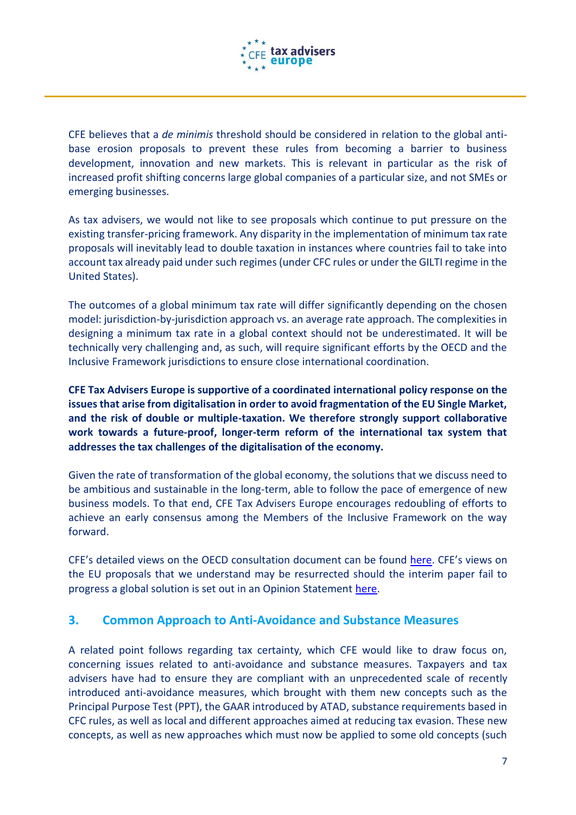

CFE believes that a *de minimis* threshold should be considered in relation to the global antibase erosion proposals to prevent these rules from becoming a barrier to business development, innovation and new markets. This is relevant in particular as the risk of increased profit shifting concerns large global companies of a particular size, and not SMEs or emerging businesses.

As tax advisers, we would not like to see proposals which continue to put pressure on the existing transfer-pricing framework. Any disparity in the implementation of minimum tax rate proposals will inevitably lead to double taxation in instances where countries fail to take into account tax already paid under such regimes (under CFC rules or under the GILTI regime in the United States).

The outcomes of a global minimum tax rate will differ significantly depending on the chosen model: jurisdiction-by-jurisdiction approach vs. an average rate approach. The complexities in designing a minimum tax rate in a global context should not be underestimated. It will be technically very challenging and, as such, will require significant efforts by the OECD and the Inclusive Framework jurisdictions to ensure close international coordination.

**CFE Tax Advisers Europe is supportive of a coordinated international policy response on the issues that arise from digitalisation in order to avoid fragmentation of the EU Single Market, and the risk of double or multiple-taxation. We therefore strongly support collaborative work towards a future-proof, longer-term reform of the international tax system that addresses the tax challenges of the digitalisation of the economy.**

Given the rate of transformation of the global economy, the solutions that we discuss need to be ambitious and sustainable in the long-term, able to follow the pace of emergence of new business models. To that end, CFE Tax Advisers Europe encourages redoubling of efforts to achieve an early consensus among the Members of the Inclusive Framework on the way forward.

CFE's detailed views on the OECD consultation document can be found [here](http://taxadviserseurope.org/blog/portfolio-items/cfe-response-to-the-oecd-consultation-on-taxation-of-the-digital-economy/). CFE's views on the EU proposals that we understand may be resurrected should the interim paper fail to progress a global solution is set out in an Opinion Statement [here.](http://taxadviserseurope.org/blog/portfolio-items/opinion-statement-eu-commission-digital-services-tax-proposal/)

#### **3. Common Approach to Anti-Avoidance and Substance Measures**

A related point follows regarding tax certainty, which CFE would like to draw focus on, concerning issues related to anti-avoidance and substance measures. Taxpayers and tax advisers have had to ensure they are compliant with an unprecedented scale of recently introduced anti-avoidance measures, which brought with them new concepts such as the Principal Purpose Test (PPT), the GAAR introduced by ATAD, substance requirements based in CFC rules, as well as local and different approaches aimed at reducing tax evasion. These new concepts, as well as new approaches which must now be applied to some old concepts (such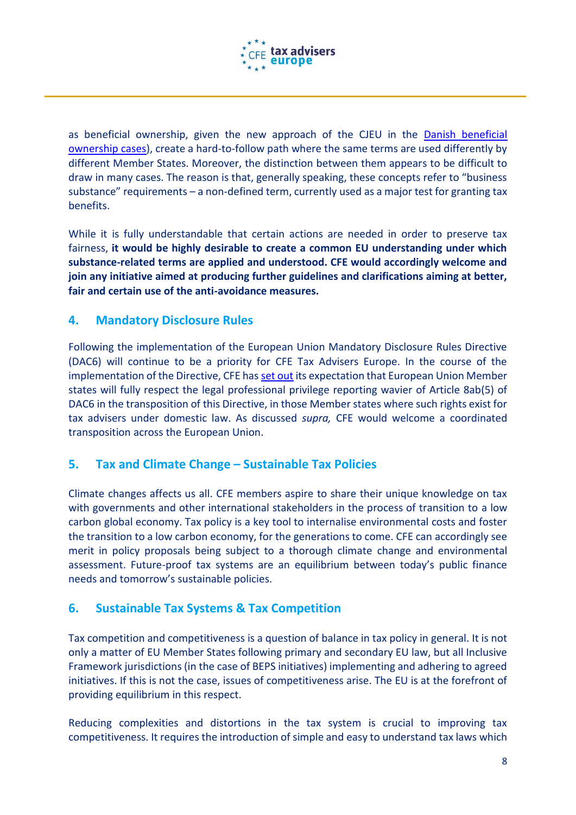

as beneficial ownership, given the new approach of the CJEU in the [Danish beneficial](http://taxadviserseurope.org/blog/portfolio-items/opinion-statement-ecj-tf-2-2019-on-the-cjeu-decisions-concerning-the-beneficial-ownership/)  [ownership cases\)](http://taxadviserseurope.org/blog/portfolio-items/opinion-statement-ecj-tf-2-2019-on-the-cjeu-decisions-concerning-the-beneficial-ownership/), create a hard-to-follow path where the same terms are used differently by different Member States. Moreover, the distinction between them appears to be difficult to draw in many cases. The reason is that, generally speaking, these concepts refer to "business substance" requirements – a non-defined term, currently used as a major test for granting tax benefits.

While it is fully understandable that certain actions are needed in order to preserve tax fairness, **it would be highly desirable to create a common EU understanding under which substance-related terms are applied and understood. CFE would accordingly welcome and join any initiative aimed at producing further guidelines and clarifications aiming at better, fair and certain use of the anti-avoidance measures.**

#### **4. Mandatory Disclosure Rules**

Following the implementation of the European Union Mandatory Disclosure Rules Directive (DAC6) will continue to be a priority for CFE Tax Advisers Europe. In the course of the implementation of the Directive, CFE has [set out](http://taxadviserseurope.org/blog/portfolio-items/opinion-statement-pac-5-2018-on-the-legal-professional-privilege-reporting-waiver-set-out-in-the-eu-mandatory-disclosure-rules-directive-dac6/) its expectation that European Union Member states will fully respect the legal professional privilege reporting wavier of Article 8ab(5) of DAC6 in the transposition of this Directive, in those Member states where such rights exist for tax advisers under domestic law. As discussed *supra,* CFE would welcome a coordinated transposition across the European Union.

#### **5. Tax and Climate Change – Sustainable Tax Policies**

Climate changes affects us all. CFE members aspire to share their unique knowledge on tax with governments and other international stakeholders in the process of transition to a low carbon global economy. Tax policy is a key tool to internalise environmental costs and foster the transition to a low carbon economy, for the generations to come. CFE can accordingly see merit in policy proposals being subject to a thorough climate change and environmental assessment. Future-proof tax systems are an equilibrium between today's public finance needs and tomorrow's sustainable policies.

#### **6. Sustainable Tax Systems & Tax Competition**

Tax competition and competitiveness is a question of balance in tax policy in general. It is not only a matter of EU Member States following primary and secondary EU law, but all Inclusive Framework jurisdictions (in the case of BEPS initiatives) implementing and adhering to agreed initiatives. If this is not the case, issues of competitiveness arise. The EU is at the forefront of providing equilibrium in this respect.

Reducing complexities and distortions in the tax system is crucial to improving tax competitiveness. It requires the introduction of simple and easy to understand tax laws which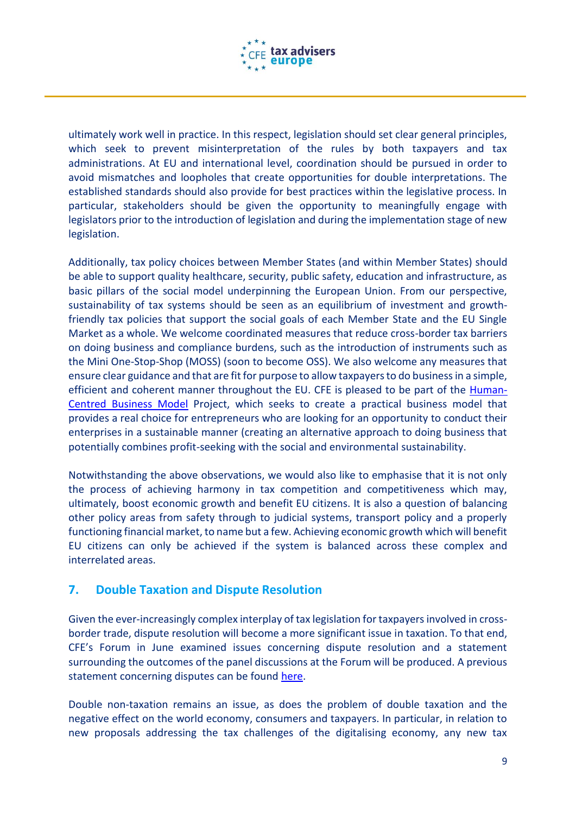

ultimately work well in practice. In this respect, legislation should set clear general principles, which seek to prevent misinterpretation of the rules by both taxpayers and tax administrations. At EU and international level, coordination should be pursued in order to avoid mismatches and loopholes that create opportunities for double interpretations. The established standards should also provide for best practices within the legislative process. In particular, stakeholders should be given the opportunity to meaningfully engage with legislators prior to the introduction of legislation and during the implementation stage of new legislation.

Additionally, tax policy choices between Member States (and within Member States) should be able to support quality healthcare, security, public safety, education and infrastructure, as basic pillars of the social model underpinning the European Union. From our perspective, sustainability of tax systems should be seen as an equilibrium of investment and growthfriendly tax policies that support the social goals of each Member State and the EU Single Market as a whole. We welcome coordinated measures that reduce cross-border tax barriers on doing business and compliance burdens, such as the introduction of instruments such as the Mini One-Stop-Shop (MOSS) (soon to become OSS). We also welcome any measures that ensure clear guidance and that are fit for purpose to allow taxpayers to do business in a simple, efficient and coherent manner throughout the EU. CFE is pleased to be part of the [Human-](https://www.worldbank.org/en/events/2019/02/21/human-centered-business-model)[Centred Business Model](https://www.worldbank.org/en/events/2019/02/21/human-centered-business-model) Project, which seeks to create a practical business model that provides a real choice for entrepreneurs who are looking for an opportunity to conduct their enterprises in a sustainable manner (creating an alternative approach to doing business that potentially combines profit-seeking with the social and environmental sustainability.

Notwithstanding the above observations, we would also like to emphasise that it is not only the process of achieving harmony in tax competition and competitiveness which may, ultimately, boost economic growth and benefit EU citizens. It is also a question of balancing other policy areas from safety through to judicial systems, transport policy and a properly functioning financial market, to name but a few. Achieving economic growth which will benefit EU citizens can only be achieved if the system is balanced across these complex and interrelated areas.

#### **7. Double Taxation and Dispute Resolution**

Given the ever-increasingly complex interplay of tax legislation for taxpayers involved in crossborder trade, dispute resolution will become a more significant issue in taxation. To that end, CFE's Forum in June examined issues concerning dispute resolution and a statement surrounding the outcomes of the panel discussions at the Forum will be produced. A previous statement concerning disputes can be found [here.](http://taxadviserseurope.org/blog/portfolio-items/opinion-statement-fc-4-2017-on-the-proposed-directive-on-double-taxation-dispute-resolution-mechanisms-in-the-european-union/)

Double non-taxation remains an issue, as does the problem of double taxation and the negative effect on the world economy, consumers and taxpayers. In particular, in relation to new proposals addressing the tax challenges of the digitalising economy, any new tax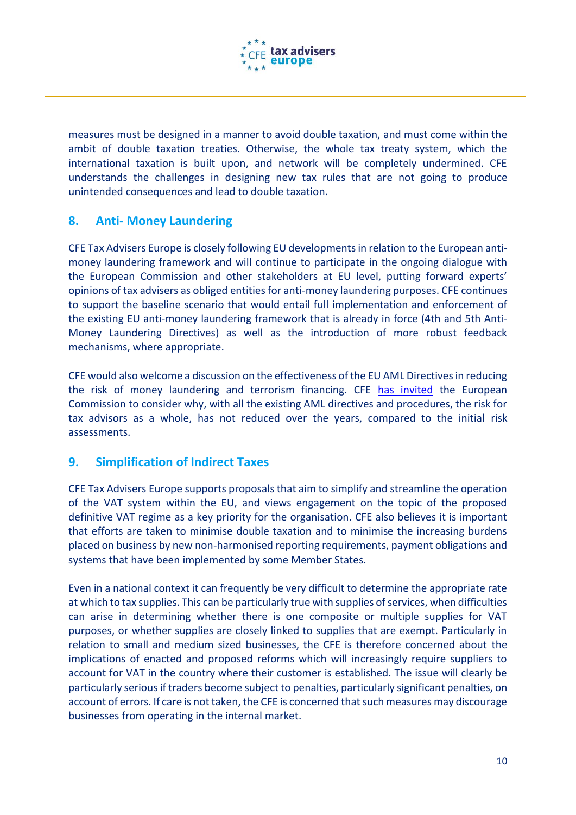

measures must be designed in a manner to avoid double taxation, and must come within the ambit of double taxation treaties. Otherwise, the whole tax treaty system, which the international taxation is built upon, and network will be completely undermined. CFE understands the challenges in designing new tax rules that are not going to produce unintended consequences and lead to double taxation.

#### **8. Anti- Money Laundering**

CFE Tax Advisers Europe is closely following EU developments in relation to the European antimoney laundering framework and will continue to participate in the ongoing dialogue with the European Commission and other stakeholders at EU level, putting forward experts' opinions of tax advisers as obliged entities for anti-money laundering purposes. CFE continues to support the baseline scenario that would entail full implementation and enforcement of the existing EU anti-money laundering framework that is already in force (4th and 5th Anti-Money Laundering Directives) as well as the introduction of more robust feedback mechanisms, where appropriate.

CFE would also welcome a discussion on the effectiveness of the EU AML Directives in reducing the risk of money laundering and terrorism financing. CFE [has invited](http://taxadviserseurope.org/blog/portfolio-items/opinion-statement-on-eu-supranational-risk-assessment-report-for-anti-money-laundering-risks/) the European Commission to consider why, with all the existing AML directives and procedures, the risk for tax advisors as a whole, has not reduced over the years, compared to the initial risk assessments.

#### **9. Simplification of Indirect Taxes**

CFE Tax Advisers Europe supports proposals that aim to simplify and streamline the operation of the VAT system within the EU, and views engagement on the topic of the proposed definitive VAT regime as a key priority for the organisation. CFE also believes it is important that efforts are taken to minimise double taxation and to minimise the increasing burdens placed on business by new non-harmonised reporting requirements, payment obligations and systems that have been implemented by some Member States.

Even in a national context it can frequently be very difficult to determine the appropriate rate at which to tax supplies. This can be particularly true with supplies of services, when difficulties can arise in determining whether there is one composite or multiple supplies for VAT purposes, or whether supplies are closely linked to supplies that are exempt. Particularly in relation to small and medium sized businesses, the CFE is therefore concerned about the implications of enacted and proposed reforms which will increasingly require suppliers to account for VAT in the country where their customer is established. The issue will clearly be particularly serious if traders become subject to penalties, particularly significant penalties, on account of errors. If care is not taken, the CFE is concerned that such measures may discourage businesses from operating in the internal market.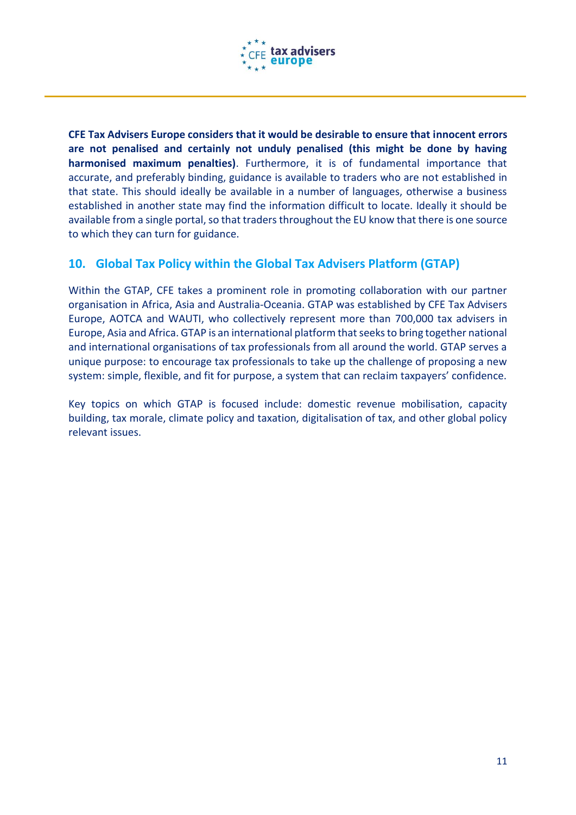

**CFE Tax Advisers Europe considers that it would be desirable to ensure that innocent errors are not penalised and certainly not unduly penalised (this might be done by having harmonised maximum penalties)**. Furthermore, it is of fundamental importance that accurate, and preferably binding, guidance is available to traders who are not established in that state. This should ideally be available in a number of languages, otherwise a business established in another state may find the information difficult to locate. Ideally it should be available from a single portal, so that traders throughout the EU know that there is one source to which they can turn for guidance.

#### **10. Global Tax Policy within the Global Tax Advisers Platform (GTAP)**

Within the GTAP, CFE takes a prominent role in promoting collaboration with our partner organisation in Africa, Asia and Australia-Oceania. GTAP was established by CFE Tax Advisers Europe, AOTCA and WAUTI, who collectively represent more than 700,000 tax advisers in Europe, Asia and Africa. GTAP is an international platform that seeks to bring together national and international organisations of tax professionals from all around the world. GTAP serves a unique purpose: to encourage tax professionals to take up the challenge of proposing a new system: simple, flexible, and fit for purpose, a system that can reclaim taxpayers' confidence.

Key topics on which GTAP is focused include: domestic revenue mobilisation, capacity building, tax morale, climate policy and taxation, digitalisation of tax, and other global policy relevant issues.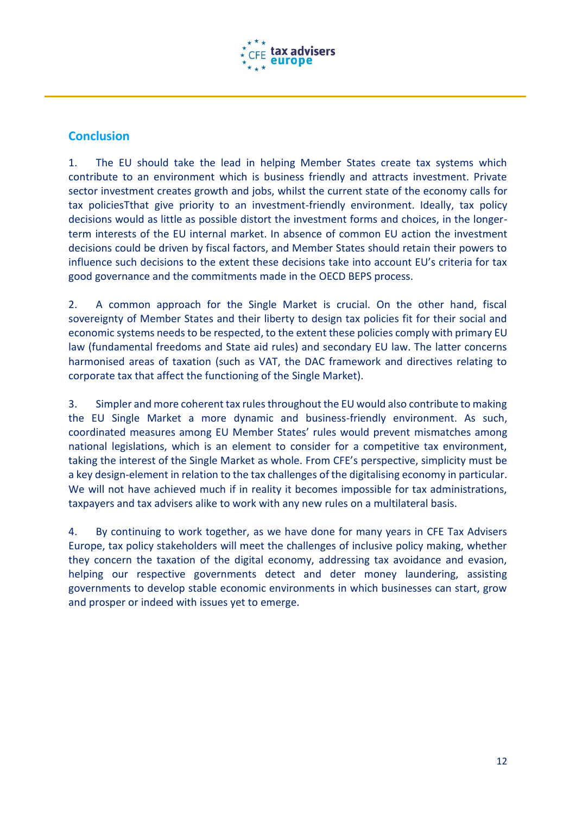

#### **Conclusion**

1. The EU should take the lead in helping Member States create tax systems which contribute to an environment which is business friendly and attracts investment. Private sector investment creates growth and jobs, whilst the current state of the economy calls for tax policiesTthat give priority to an investment-friendly environment. Ideally, tax policy decisions would as little as possible distort the investment forms and choices, in the longerterm interests of the EU internal market. In absence of common EU action the investment decisions could be driven by fiscal factors, and Member States should retain their powers to influence such decisions to the extent these decisions take into account EU's criteria for tax good governance and the commitments made in the OECD BEPS process.

2. A common approach for the Single Market is crucial. On the other hand, fiscal sovereignty of Member States and their liberty to design tax policies fit for their social and economic systems needs to be respected, to the extent these policies comply with primary EU law (fundamental freedoms and State aid rules) and secondary EU law. The latter concerns harmonised areas of taxation (such as VAT, the DAC framework and directives relating to corporate tax that affect the functioning of the Single Market).

3. Simpler and more coherent tax rules throughout the EU would also contribute to making the EU Single Market a more dynamic and business-friendly environment. As such, coordinated measures among EU Member States' rules would prevent mismatches among national legislations, which is an element to consider for a competitive tax environment, taking the interest of the Single Market as whole. From CFE's perspective, simplicity must be a key design-element in relation to the tax challenges of the digitalising economy in particular. We will not have achieved much if in reality it becomes impossible for tax administrations, taxpayers and tax advisers alike to work with any new rules on a multilateral basis.

4. By continuing to work together, as we have done for many years in CFE Tax Advisers Europe, tax policy stakeholders will meet the challenges of inclusive policy making, whether they concern the taxation of the digital economy, addressing tax avoidance and evasion, helping our respective governments detect and deter money laundering, assisting governments to develop stable economic environments in which businesses can start, grow and prosper or indeed with issues yet to emerge.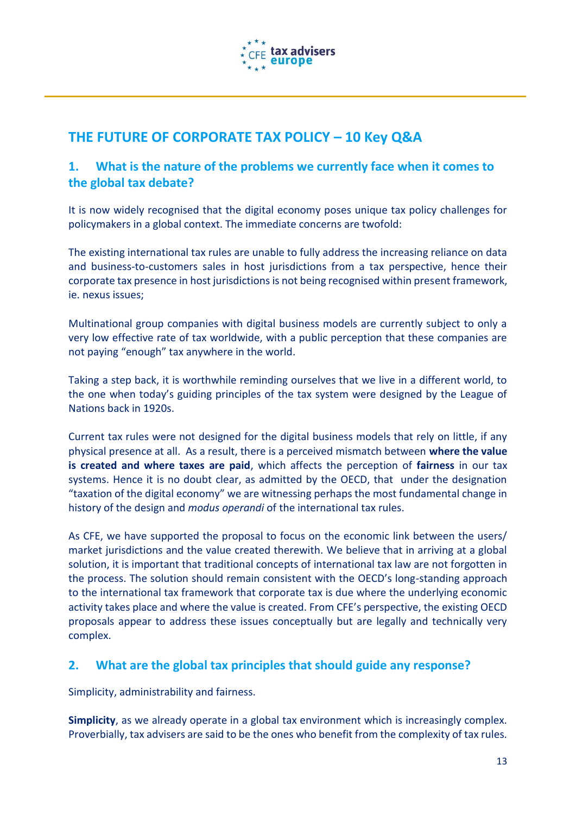

## **THE FUTURE OF CORPORATE TAX POLICY – 10 Key Q&A**

#### **1. What is the nature of the problems we currently face when it comes to the global tax debate?**

It is now widely recognised that the digital economy poses unique tax policy challenges for policymakers in a global context. The immediate concerns are twofold:

The existing international tax rules are unable to fully address the increasing reliance on data and business-to-customers sales in host jurisdictions from a tax perspective, hence their corporate tax presence in host jurisdictions is not being recognised within present framework, ie. nexus issues;

Multinational group companies with digital business models are currently subject to only a very low effective rate of tax worldwide, with a public perception that these companies are not paying "enough" tax anywhere in the world.

Taking a step back, it is worthwhile reminding ourselves that we live in a different world, to the one when today's guiding principles of the tax system were designed by the League of Nations back in 1920s.

Current tax rules were not designed for the digital business models that rely on little, if any physical presence at all. As a result, there is a perceived mismatch between **where the value is created and where taxes are paid**, which affects the perception of **fairness** in our tax systems. Hence it is no doubt clear, as admitted by the OECD, that under the designation "taxation of the digital economy" we are witnessing perhaps the most fundamental change in history of the design and *modus operandi* of the international tax rules.

As CFE, we have supported the proposal to focus on the economic link between the users/ market jurisdictions and the value created therewith. We believe that in arriving at a global solution, it is important that traditional concepts of international tax law are not forgotten in the process. The solution should remain consistent with the OECD's long-standing approach to the international tax framework that corporate tax is due where the underlying economic activity takes place and where the value is created. From CFE's perspective, the existing OECD proposals appear to address these issues conceptually but are legally and technically very complex.

#### **2. What are the global tax principles that should guide any response?**

Simplicity, administrability and fairness.

**Simplicity**, as we already operate in a global tax environment which is increasingly complex. Proverbially, tax advisers are said to be the ones who benefit from the complexity of tax rules.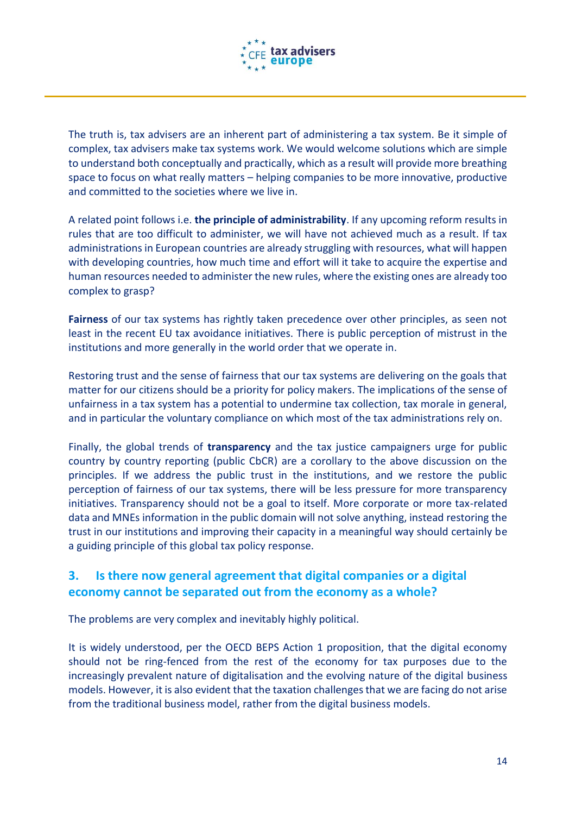

The truth is, tax advisers are an inherent part of administering a tax system. Be it simple of complex, tax advisers make tax systems work. We would welcome solutions which are simple to understand both conceptually and practically, which as a result will provide more breathing space to focus on what really matters – helping companies to be more innovative, productive and committed to the societies where we live in.

A related point follows i.e. **the principle of administrability**. If any upcoming reform results in rules that are too difficult to administer, we will have not achieved much as a result. If tax administrations in European countries are already struggling with resources, what will happen with developing countries, how much time and effort will it take to acquire the expertise and human resources needed to administer the new rules, where the existing ones are already too complex to grasp?

**Fairness** of our tax systems has rightly taken precedence over other principles, as seen not least in the recent EU tax avoidance initiatives. There is public perception of mistrust in the institutions and more generally in the world order that we operate in.

Restoring trust and the sense of fairness that our tax systems are delivering on the goals that matter for our citizens should be a priority for policy makers. The implications of the sense of unfairness in a tax system has a potential to undermine tax collection, tax morale in general, and in particular the voluntary compliance on which most of the tax administrations rely on.

Finally, the global trends of **transparency** and the tax justice campaigners urge for public country by country reporting (public CbCR) are a corollary to the above discussion on the principles. If we address the public trust in the institutions, and we restore the public perception of fairness of our tax systems, there will be less pressure for more transparency initiatives. Transparency should not be a goal to itself. More corporate or more tax-related data and MNEs information in the public domain will not solve anything, instead restoring the trust in our institutions and improving their capacity in a meaningful way should certainly be a guiding principle of this global tax policy response.

#### **3. Is there now general agreement that digital companies or a digital economy cannot be separated out from the economy as a whole?**

The problems are very complex and inevitably highly political.

It is widely understood, per the OECD BEPS Action 1 proposition, that the digital economy should not be ring-fenced from the rest of the economy for tax purposes due to the increasingly prevalent nature of digitalisation and the evolving nature of the digital business models. However, it is also evident that the taxation challenges that we are facing do not arise from the traditional business model, rather from the digital business models.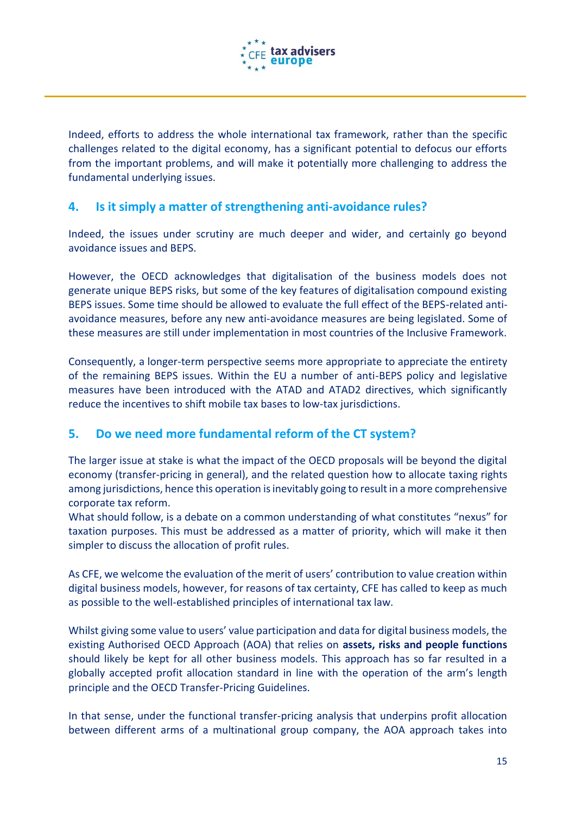

Indeed, efforts to address the whole international tax framework, rather than the specific challenges related to the digital economy, has a significant potential to defocus our efforts from the important problems, and will make it potentially more challenging to address the fundamental underlying issues.

#### **4. Is it simply a matter of strengthening anti-avoidance rules?**

Indeed, the issues under scrutiny are much deeper and wider, and certainly go beyond avoidance issues and BEPS.

However, the OECD acknowledges that digitalisation of the business models does not generate unique BEPS risks, but some of the key features of digitalisation compound existing BEPS issues. Some time should be allowed to evaluate the full effect of the BEPS-related antiavoidance measures, before any new anti-avoidance measures are being legislated. Some of these measures are still under implementation in most countries of the Inclusive Framework.

Consequently, a longer-term perspective seems more appropriate to appreciate the entirety of the remaining BEPS issues. Within the EU a number of anti-BEPS policy and legislative measures have been introduced with the ATAD and ATAD2 directives, which significantly reduce the incentives to shift mobile tax bases to low-tax jurisdictions.

#### **5. Do we need more fundamental reform of the CT system?**

The larger issue at stake is what the impact of the OECD proposals will be beyond the digital economy (transfer-pricing in general), and the related question how to allocate taxing rights among jurisdictions, hence this operation is inevitably going to result in a more comprehensive corporate tax reform.

What should follow, is a debate on a common understanding of what constitutes "nexus" for taxation purposes. This must be addressed as a matter of priority, which will make it then simpler to discuss the allocation of profit rules.

As CFE, we welcome the evaluation of the merit of users' contribution to value creation within digital business models, however, for reasons of tax certainty, CFE has called to keep as much as possible to the well-established principles of international tax law.

Whilst giving some value to users' value participation and data for digital business models, the existing Authorised OECD Approach (AOA) that relies on **assets, risks and people functions** should likely be kept for all other business models. This approach has so far resulted in a globally accepted profit allocation standard in line with the operation of the arm's length principle and the OECD Transfer-Pricing Guidelines.

In that sense, under the functional transfer-pricing analysis that underpins profit allocation between different arms of a multinational group company, the AOA approach takes into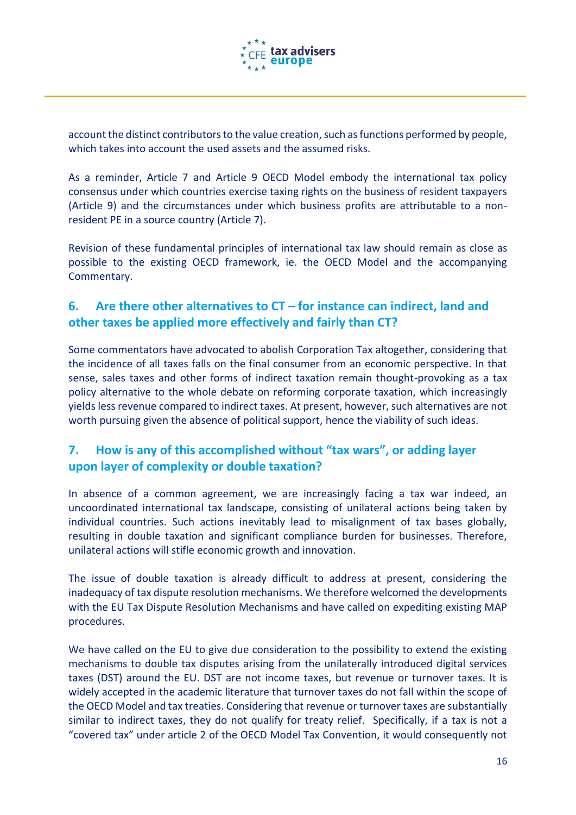

account the distinct contributors to the value creation, such as functions performed by people, which takes into account the used assets and the assumed risks.

As a reminder, Article 7 and Article 9 OECD Model embody the international tax policy consensus under which countries exercise taxing rights on the business of resident taxpayers (Article 9) and the circumstances under which business profits are attributable to a nonresident PE in a source country (Article 7).

Revision of these fundamental principles of international tax law should remain as close as possible to the existing OECD framework, ie. the OECD Model and the accompanying Commentary.

#### **6. Are there other alternatives to CT – for instance can indirect, land and other taxes be applied more effectively and fairly than CT?**

Some commentators have advocated to abolish Corporation Tax altogether, considering that the incidence of all taxes falls on the final consumer from an economic perspective. In that sense, sales taxes and other forms of indirect taxation remain thought-provoking as a tax policy alternative to the whole debate on reforming corporate taxation, which increasingly yields less revenue compared to indirect taxes. At present, however, such alternatives are not worth pursuing given the absence of political support, hence the viability of such ideas.

#### **7. How is any of this accomplished without "tax wars", or adding layer upon layer of complexity or double taxation?**

In absence of a common agreement, we are increasingly facing a tax war indeed, an uncoordinated international tax landscape, consisting of unilateral actions being taken by individual countries. Such actions inevitably lead to misalignment of tax bases globally, resulting in double taxation and significant compliance burden for businesses. Therefore, unilateral actions will stifle economic growth and innovation.

The issue of double taxation is already difficult to address at present, considering the inadequacy of tax dispute resolution mechanisms. We therefore welcomed the developments with the EU Tax Dispute Resolution Mechanisms and have called on expediting existing MAP procedures.

We have called on the EU to give due consideration to the possibility to extend the existing mechanisms to double tax disputes arising from the unilaterally introduced digital services taxes (DST) around the EU. DST are not income taxes, but revenue or turnover taxes. It is widely accepted in the academic literature that turnover taxes do not fall within the scope of the OECD Model and tax treaties. Considering that revenue or turnover taxes are substantially similar to indirect taxes, they do not qualify for treaty relief. Specifically, if a tax is not a "covered tax" under article 2 of the OECD Model Tax Convention, it would consequently not